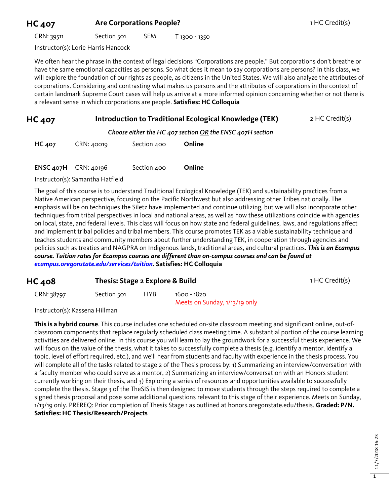## **HC 407 Are Corporations People?** 1 HC Credit(s)

CRN: 39511 Section 501 SEM T 1300 - 1350

Instructor(s): Lorie Harris Hancock

We often hear the phrase in the context of legal decisions "Corporations are people." But corporations don't breathe or have the same emotional capacities as persons. So what does it mean to say corporations are persons? In this class, we will explore the foundation of our rights as people, as citizens in the United States. We will also analyze the attributes of corporations. Considering and contrasting what makes us persons and the attributes of corporations in the context of certain landmark Supreme Court cases will help us arrive at a more informed opinion concerning whether or not there is a relevant sense in which corporations are people. **Satisfies: HC Colloquia** 

## **HC 407 Introduction to Traditional Ecological Knowledge (TEK)** 2 HC Credit(s)

*Choose either the HC 407 section OR the ENSC 407H section*

| HC 407 | CRN: 40019 | Section 400 | Online |
|--------|------------|-------------|--------|
|--------|------------|-------------|--------|

ENSC 407H CRN: 40196 Section 400 **Online**

Instructor(s): Samantha Hatfield

The goal of this course is to understand Traditional Ecological Knowledge (TEK) and sustainability practices from a Native American perspective, focusing on the Pacific Northwest but also addressing other Tribes nationally. The emphasis will be on techniques the Siletz have implemented and continue utilizing, but we will also incorporate other techniques from tribal perspectives in local and national areas, as well as how these utilizations coincide with agencies on local, state, and federal levels. This class will focus on how state and federal guidelines, laws, and regulations affect and implement tribal policies and tribal members. This course promotes TEK as a viable sustainability technique and teaches students and community members about further understanding TEK, in cooperation through agencies and policies such as treaties and NAGPRA on Indigenous lands, traditional areas, and cultural practices. *This is an Ecampus course. Tuition rates for Ecampus courses are different than on-campus courses and can be found at [ecampus.oregonstate.edu/services/tuition.](https://ecampus.oregonstate.edu/services/tuition/)* **Satisfies: HC Colloquia**

| <b>HC 408</b> |             | Thesis: Stage 2 Explore & Build |                                              |  |
|---------------|-------------|---------------------------------|----------------------------------------------|--|
| CRN: 38797    | Section 501 | HYB.                            | 1600 - 1820<br>Meets on Sunday, 1/13/19 only |  |

Instructor(s): Kassena Hillman

**This is a hybrid course**. This course includes one scheduled on-site classroom meeting and significant online, out-ofclassroom components that replace regularly scheduled class meeting time. A substantial portion of the course learning activities are delivered online. In this course you will learn to lay the groundwork for a successful thesis experience. We will focus on the value of the thesis, what it takes to successfully complete a thesis (e.g. identify a mentor, identify a topic, level of effort required, etc.), and we'll hear from students and faculty with experience in the thesis process. You will complete all of the tasks related to stage 2 of the Thesis process by: 1) Summarizing an interview/conversation with a faculty member who could serve as a mentor, 2) Summarizing an interview/conversation with an Honors student currently working on their thesis, and 3) Exploring a series of resources and opportunities available to successfully complete the thesis. Stage 3 of the TheSIS is then designed to move students through the steps required to complete a signed thesis proposal and pose some additional questions relevant to this stage of their experience. Meets on Sunday, 1/13/19 only. PREREQ: Prior completion of Thesis Stage 1 as outlined at honors.oregonstate.edu/thesis. **Graded: P/N. Satisfies: HC Thesis/Research/Projects**